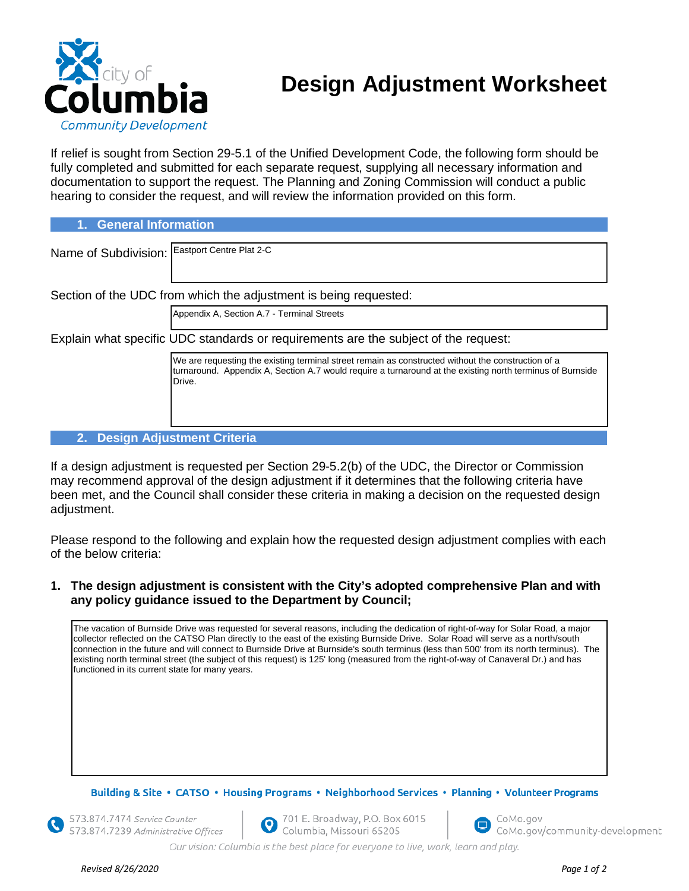

# **Design Adjustment Worksheet**

If relief is sought from Section 29-5.1 of the Unified Development Code, the following form should be fully completed and submitted for each separate request, supplying all necessary information and documentation to support the request. The Planning and Zoning Commission will conduct a public hearing to consider the request, and will review the information provided on this form.

**1. General Information**

| Name of Subdivision: Eastport Centre Plat 2-C                                       |                                                                                                                                                                                                                           |
|-------------------------------------------------------------------------------------|---------------------------------------------------------------------------------------------------------------------------------------------------------------------------------------------------------------------------|
|                                                                                     |                                                                                                                                                                                                                           |
| Section of the UDC from which the adjustment is being requested:                    |                                                                                                                                                                                                                           |
|                                                                                     | Appendix A, Section A.7 - Terminal Streets                                                                                                                                                                                |
| Explain what specific UDC standards or requirements are the subject of the request: |                                                                                                                                                                                                                           |
|                                                                                     | We are requesting the existing terminal street remain as constructed without the construction of a<br>turnaround. Appendix A, Section A.7 would require a turnaround at the existing north terminus of Burnside<br>Drive. |
|                                                                                     |                                                                                                                                                                                                                           |
| <b>Design Adjustment Criteria</b><br>2.                                             |                                                                                                                                                                                                                           |

If a design adjustment is requested per Section 29-5.2(b) of the UDC, the Director or Commission may recommend approval of the design adjustment if it determines that the following criteria have been met, and the Council shall consider these criteria in making a decision on the requested design adjustment.

Please respond to the following and explain how the requested design adjustment complies with each of the below criteria:

**1. The design adjustment is consistent with the City's adopted comprehensive Plan and with any policy guidance issued to the Department by Council;**

The vacation of Burnside Drive was requested for several reasons, including the dedication of right-of-way for Solar Road, a major collector reflected on the CATSO Plan directly to the east of the existing Burnside Drive. Solar Road will serve as a north/south connection in the future and will connect to Burnside Drive at Burnside's south terminus (less than 500' from its north terminus). The existing north terminal street (the subject of this request) is 125' long (measured from the right-of-way of Canaveral Dr.) and has functioned in its current state for many years.

Building & Site • CATSO • Housing Programs • Neighborhood Services • Planning • Volunteer Programs

573.874.7474 Service Counter 573.874.7239 Administrative Offices

701 E. Broadway, P.O. Box 6015 Columbia, Missouri 65205



CoMo.gov/community-development

Our vision: Columbia is the best place for everyone to live, work, learn and play.